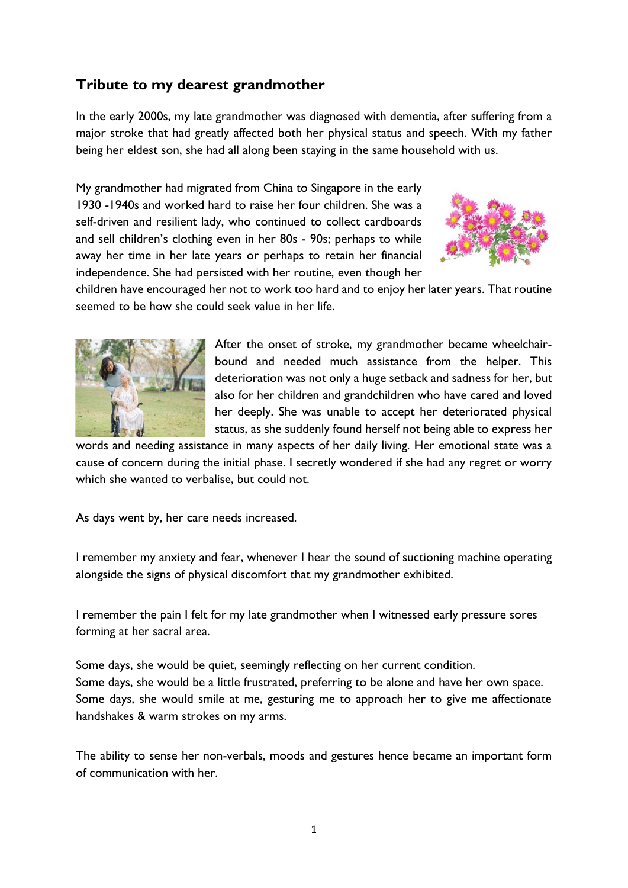## **Tribute to my dearest grandmother**

In the early 2000s, my late grandmother was diagnosed with dementia, after suffering from a major stroke that had greatly affected both her physical status and speech. With my father being her eldest son, she had all along been staying in the same household with us.

My grandmother had migrated from China to Singapore in the early 1930 -1940s and worked hard to raise her four children. She was a self-driven and resilient lady, who continued to collect cardboards and sell children's clothing even in her 80s - 90s; perhaps to while away her time in her late years or perhaps to retain her financial independence. She had persisted with her routine, even though her



children have encouraged her not to work too hard and to enjoy her later years. That routine seemed to be how she could seek value in her life.



After the onset of stroke, my grandmother became wheelchairbound and needed much assistance from the helper. This deterioration was not only a huge setback and sadness for her, but also for her children and grandchildren who have cared and loved her deeply. She was unable to accept her deteriorated physical status, as she suddenly found herself not being able to express her

words and needing assistance in many aspects of her daily living. Her emotional state was a cause of concern during the initial phase. I secretly wondered if she had any regret or worry which she wanted to verbalise, but could not.

As days went by, her care needs increased.

I remember my anxiety and fear, whenever I hear the sound of suctioning machine operating alongside the signs of physical discomfort that my grandmother exhibited.

I remember the pain I felt for my late grandmother when I witnessed early pressure sores forming at her sacral area.

Some days, she would be quiet, seemingly reflecting on her current condition. Some days, she would be a little frustrated, preferring to be alone and have her own space. Some days, she would smile at me, gesturing me to approach her to give me affectionate handshakes & warm strokes on my arms.

The ability to sense her non-verbals, moods and gestures hence became an important form of communication with her.